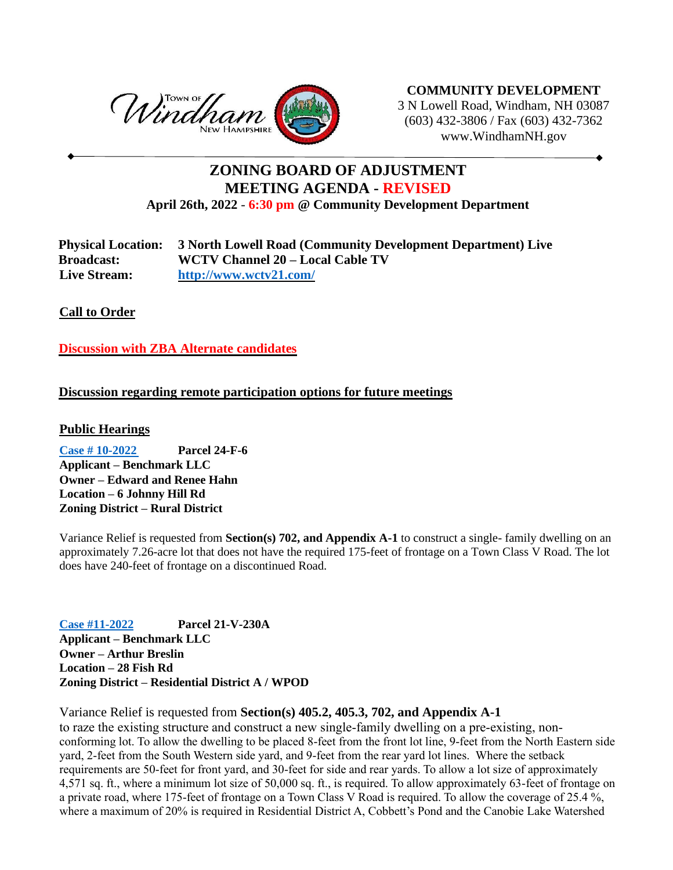

**COMMUNITY DEVELOPMENT** 3 N Lowell Road, Windham, NH 03087 (603) 432-3806 / Fax (603) 432-7362 www.WindhamNH.gov

## **ZONING BOARD OF ADJUSTMENT MEETING AGENDA - REVISED April 26th, 2022** - **6:30 pm @ Community Development Department**

**Physical Location: 3 North Lowell Road (Community Development Department) Live Broadcast: WCTV Channel 20 – Local Cable TV Live Stream: <http://www.wctv21.com/>**

**Call to Order** 

**Discussion with ZBA Alternate candidates**

## **Discussion regarding remote participation options for future meetings**

## **Public Hearings**

**[Case # 10-2022](https://www.windhamnh.gov/DocumentCenter/Index/947) Parcel 24-F-6 Applicant – Benchmark LLC Owner – Edward and Renee Hahn Location – 6 Johnny Hill Rd Zoning District – Rural District**

Variance Relief is requested from **Section(s) 702, and Appendix A-1** to construct a single- family dwelling on an approximately 7.26-acre lot that does not have the required 175-feet of frontage on a Town Class V Road. The lot does have 240-feet of frontage on a discontinued Road.

**[Case #11-2022](https://www.windhamnh.gov/DocumentCenter/Index/948) Parcel 21-V-230A Applicant – Benchmark LLC Owner – Arthur Breslin Location – 28 Fish Rd Zoning District – Residential District A / WPOD**

Variance Relief is requested from **Section(s) 405.2, 405.3, 702, and Appendix A-1**

to raze the existing structure and construct a new single-family dwelling on a pre-existing, nonconforming lot. To allow the dwelling to be placed 8-feet from the front lot line, 9-feet from the North Eastern side yard, 2-feet from the South Western side yard, and 9-feet from the rear yard lot lines. Where the setback requirements are 50-feet for front yard, and 30-feet for side and rear yards. To allow a lot size of approximately 4,571 sq. ft., where a minimum lot size of 50,000 sq. ft., is required. To allow approximately 63-feet of frontage on a private road, where 175-feet of frontage on a Town Class V Road is required. To allow the coverage of 25.4 %, where a maximum of 20% is required in Residential District A, Cobbett's Pond and the Canobie Lake Watershed